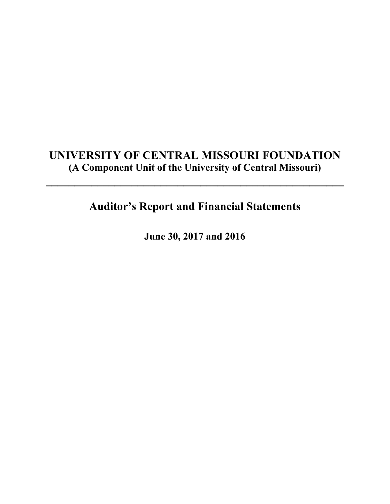**\_\_\_\_\_\_\_\_\_\_\_\_\_\_\_\_\_\_\_\_\_\_\_\_\_\_\_\_\_\_\_\_\_\_\_\_\_\_\_\_\_\_\_\_\_\_\_\_\_\_\_\_** 

**Auditor's Report and Financial Statements** 

**June 30, 2017 and 2016**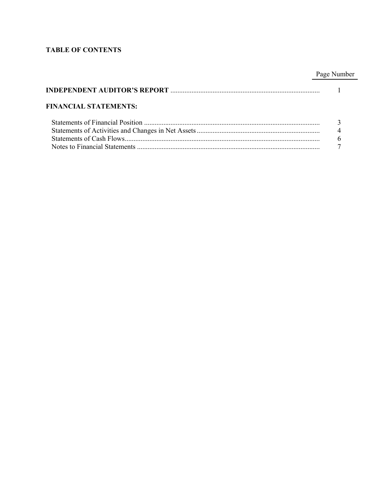### **TABLE OF CONTENTS**

### Page Number

| <b>FINANCIAL STATEMENTS:</b> |  |  |  |  |  |
|------------------------------|--|--|--|--|--|
|                              |  |  |  |  |  |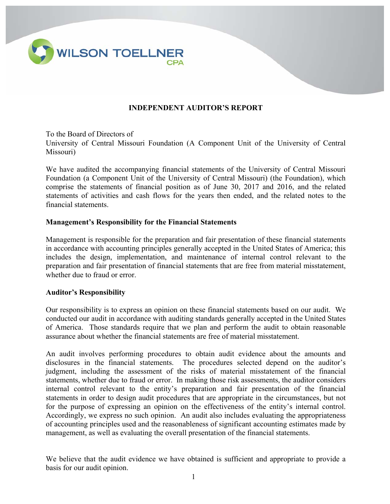

### **INDEPENDENT AUDITOR'S REPORT**

To the Board of Directors of University of Central Missouri Foundation (A Component Unit of the University of Central Missouri)

We have audited the accompanying financial statements of the University of Central Missouri Foundation (a Component Unit of the University of Central Missouri) (the Foundation), which comprise the statements of financial position as of June 30, 2017 and 2016, and the related statements of activities and cash flows for the years then ended, and the related notes to the financial statements.

### **Management's Responsibility for the Financial Statements**

Management is responsible for the preparation and fair presentation of these financial statements in accordance with accounting principles generally accepted in the United States of America; this includes the design, implementation, and maintenance of internal control relevant to the preparation and fair presentation of financial statements that are free from material misstatement, whether due to fraud or error.

### **Auditor's Responsibility**

Our responsibility is to express an opinion on these financial statements based on our audit. We conducted our audit in accordance with auditing standards generally accepted in the United States of America. Those standards require that we plan and perform the audit to obtain reasonable assurance about whether the financial statements are free of material misstatement.

An audit involves performing procedures to obtain audit evidence about the amounts and disclosures in the financial statements. The procedures selected depend on the auditor's judgment, including the assessment of the risks of material misstatement of the financial statements, whether due to fraud or error. In making those risk assessments, the auditor considers internal control relevant to the entity's preparation and fair presentation of the financial statements in order to design audit procedures that are appropriate in the circumstances, but not for the purpose of expressing an opinion on the effectiveness of the entity's internal control. Accordingly, we express no such opinion. An audit also includes evaluating the appropriateness of accounting principles used and the reasonableness of significant accounting estimates made by management, as well as evaluating the overall presentation of the financial statements.

We believe that the audit evidence we have obtained is sufficient and appropriate to provide a basis for our audit opinion.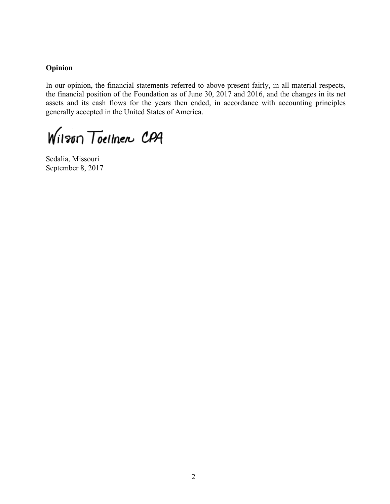## **Opinion**

In our opinion, the financial statements referred to above present fairly, in all material respects, the financial position of the Foundation as of June 30, 2017 and 2016, and the changes in its net assets and its cash flows for the years then ended, in accordance with accounting principles generally accepted in the United States of America.

Wilson Toellner CPA

Sedalia, Missouri September 8, 2017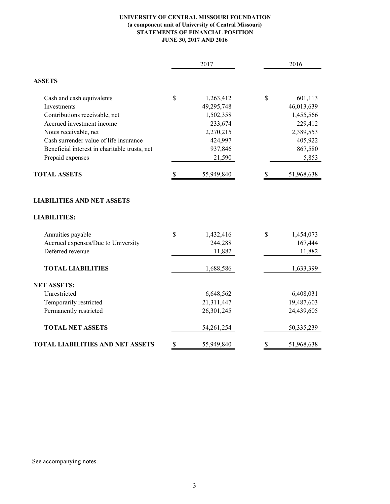#### **UNIVERSITY OF CENTRAL MISSOURI FOUNDATION (a component unit of University of Central Missouri) STATEMENTS OF FINANCIAL POSITION JUNE 30, 2017 AND 2016**

|                                                          | 2017 |              |    | 2016       |
|----------------------------------------------------------|------|--------------|----|------------|
| <b>ASSETS</b>                                            |      |              |    |            |
| Cash and cash equivalents                                | \$   | 1,263,412    | \$ | 601,113    |
| Investments                                              |      | 49,295,748   |    | 46,013,639 |
| Contributions receivable, net                            |      | 1,502,358    |    | 1,455,566  |
| Accrued investment income                                |      | 233,674      |    | 229,412    |
| Notes receivable, net                                    |      | 2,270,215    |    | 2,389,553  |
| Cash surrender value of life insurance                   |      | 424,997      |    | 405,922    |
| Beneficial interest in charitable trusts, net            |      | 937,846      |    | 867,580    |
| Prepaid expenses                                         |      | 21,590       |    | 5,853      |
| <b>TOTAL ASSETS</b>                                      | \$   | 55,949,840   | S  | 51,968,638 |
| <b>LIABILITIES AND NET ASSETS</b><br><b>LIABILITIES:</b> |      |              |    |            |
| Annuities payable                                        | \$   | 1,432,416    | \$ | 1,454,073  |
| Accrued expenses/Due to University                       |      | 244,288      |    | 167,444    |
| Deferred revenue                                         |      | 11,882       |    | 11,882     |
| <b>TOTAL LIABILITIES</b>                                 |      | 1,688,586    |    | 1,633,399  |
| <b>NET ASSETS:</b>                                       |      |              |    |            |
| Unrestricted                                             |      | 6,648,562    |    | 6,408,031  |
| Temporarily restricted                                   |      | 21,311,447   |    | 19,487,603 |
| Permanently restricted                                   |      | 26, 301, 245 |    | 24,439,605 |
| <b>TOTAL NET ASSETS</b>                                  |      | 54, 261, 254 |    | 50,335,239 |
| <b>TOTAL LIABILITIES AND NET ASSETS</b>                  | \$   | 55,949,840   | \$ | 51,968,638 |

See accompanying notes.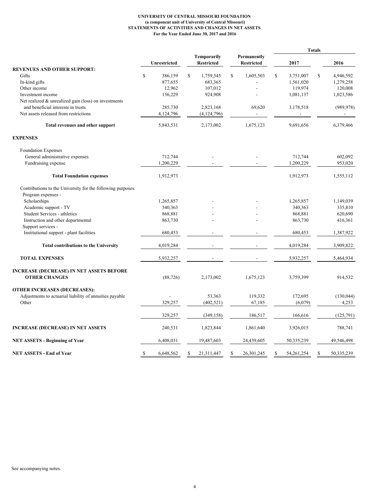#### **UNIVERSITY OF CENTRAL MISSOURI FOUNDATION (a component unit of University of Central Missouri) STATEMENTS OF ACTIVITIES AND CHANGES IN NET ASSETS For the Year Ended June 30, 2017 and 2016**

|                                                                                                |              |                     |              |                                         |    |                                  |              |              |               |            | <b>Totals</b> |  |
|------------------------------------------------------------------------------------------------|--------------|---------------------|--------------|-----------------------------------------|----|----------------------------------|--------------|--------------|---------------|------------|---------------|--|
|                                                                                                |              | <b>Unrestricted</b> |              | <b>Temporarily</b><br><b>Restricted</b> |    | Permanently<br><b>Restricted</b> |              | 2017         |               | 2016       |               |  |
| <b>REVENUES AND OTHER SUPPORT:</b>                                                             |              |                     |              |                                         |    |                                  |              |              |               |            |               |  |
| Gifts                                                                                          | $\mathbb{S}$ | 386,159             | $\mathbb{S}$ | 1,759,345                               | \$ | 1,605,503                        | $\mathbb{S}$ | 3,751,007    | $\mathsf{\$}$ | 4,946,592  |               |  |
| In-kind gifts                                                                                  |              | 877,655             |              | 683,365                                 |    |                                  |              | 1,561,020    |               | 1,279,258  |               |  |
| Other income                                                                                   |              | 12,962              |              | 107,012                                 |    |                                  |              | 119,974      |               | 120,008    |               |  |
| Investment income                                                                              |              | 156,229             |              | 924,908                                 |    |                                  |              | 1,081,137    |               | 1,023,586  |               |  |
| Net realized $\&$ unrealized gain (loss) on investments                                        |              |                     |              |                                         |    |                                  |              |              |               |            |               |  |
| and beneficial interests in trusts                                                             |              | 285,730             |              | 2,823,168                               |    | 69,620                           |              | 3,178,518    |               | (989, 978) |               |  |
| Net assets released from restrictions                                                          |              | 4,124,796           |              | (4, 124, 796)                           |    |                                  |              |              |               |            |               |  |
|                                                                                                |              |                     |              |                                         |    |                                  |              |              |               |            |               |  |
| Total revenues and other support                                                               |              | 5,843,531           |              | 2,173,002                               |    | 1,675,123                        |              | 9,691,656    |               | 6,379,466  |               |  |
| <b>EXPENSES</b>                                                                                |              |                     |              |                                         |    |                                  |              |              |               |            |               |  |
| Foundation Expenses                                                                            |              |                     |              |                                         |    |                                  |              |              |               |            |               |  |
| General administrative expenses                                                                |              | 712,744             |              |                                         |    |                                  |              | 712,744      |               | 602,092    |               |  |
| Fundraising expense                                                                            |              | 1,200,229           |              |                                         |    |                                  |              | 1,200,229    |               | 953,020    |               |  |
| <b>Total Foundation expenses</b>                                                               |              | 1,912,973           |              |                                         |    |                                  |              | 1,912,973    |               | 1,555,112  |               |  |
| Contributions to the University for the following purposes:                                    |              |                     |              |                                         |    |                                  |              |              |               |            |               |  |
| Program expenses -                                                                             |              |                     |              |                                         |    |                                  |              |              |               |            |               |  |
| Scholarships                                                                                   |              | 1,265,857           |              |                                         |    |                                  |              | 1,265,857    |               | 1,149,039  |               |  |
| Academic support - TV                                                                          |              | 340,363             |              |                                         |    |                                  |              | 340,363      |               | 335,810    |               |  |
| Student Services - athletics                                                                   |              | 868,881             |              |                                         |    |                                  |              | 868,881      |               | 620,690    |               |  |
| Instruction and other departmental                                                             |              | 863,730             |              |                                         |    |                                  |              | 863,730      |               | 416,361    |               |  |
| Support services -                                                                             |              |                     |              |                                         |    |                                  |              |              |               |            |               |  |
| Institutional support - plant facilities                                                       |              | 680,453             |              |                                         |    |                                  |              | 680,453      |               | 1,387,922  |               |  |
| <b>Total contributions to the University</b>                                                   |              | 4,019,284           |              |                                         |    |                                  |              | 4,019,284    |               | 3,909,822  |               |  |
| <b>TOTAL EXPENSES</b>                                                                          |              | 5,932,257           |              |                                         |    |                                  |              | 5,932,257    |               | 5,464,934  |               |  |
| <b>INCREASE (DECREASE) IN NET ASSETS BEFORE</b>                                                |              |                     |              |                                         |    |                                  |              |              |               |            |               |  |
| <b>OTHER CHANGES</b>                                                                           |              | (88, 726)           |              | 2,173,002                               |    | 1,675,123                        |              | 3,759,399    |               | 914,532    |               |  |
|                                                                                                |              |                     |              |                                         |    |                                  |              |              |               |            |               |  |
| <b>OTHER INCREASES (DECREASES):</b><br>Adjustments to actuarial liability of annuities payable |              |                     |              | 53,363                                  |    | 119,332                          |              | 172,695      |               | (130, 044) |               |  |
| Other                                                                                          |              |                     |              |                                         |    |                                  |              |              |               |            |               |  |
|                                                                                                |              | 329,257             |              | (402, 521)                              |    | 67,185                           |              | (6,079)      |               | 4,253      |               |  |
|                                                                                                |              | 329,257             |              | (349, 158)                              |    | 186,517                          |              | 166,616      |               | (125,791)  |               |  |
| <b>INCREASE (DECREASE) IN NET ASSETS</b>                                                       |              | 240,531             |              | 1,823,844                               |    | 1,861,640                        |              | 3,926,015    |               | 788,741    |               |  |
| <b>NET ASSETS - Beginning of Year</b>                                                          |              | 6,408,031           |              | 19,487,603                              |    | 24,439,605                       |              | 50,335,239   |               | 49,546,498 |               |  |
| <b>NET ASSETS - End of Year</b>                                                                | \$           | 6,648,562           | \$           | 21,311,447                              | \$ | 26,301,245                       | \$           | 54, 261, 254 | \$            | 50,335,239 |               |  |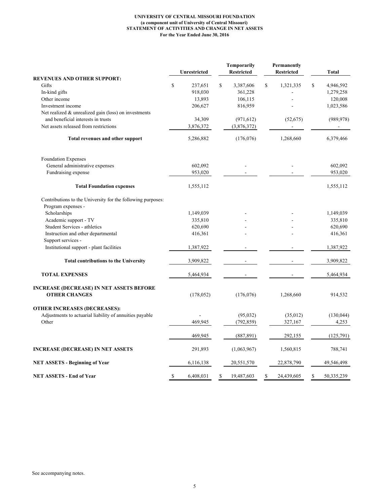#### **UNIVERSITY OF CENTRAL MISSOURI FOUNDATION (a component unit of University of Central Missouri) STATEMENT OF ACTIVITIES AND CHANGE IN NET ASSETS For the Year Ended June 30, 2016**

|                                                                  |               | Unrestricted       | <b>Temporarily</b><br><b>Restricted</b> |    | Permanently<br><b>Restricted</b> | <b>Total</b>       |
|------------------------------------------------------------------|---------------|--------------------|-----------------------------------------|----|----------------------------------|--------------------|
| <b>REVENUES AND OTHER SUPPORT:</b>                               |               |                    |                                         |    |                                  |                    |
| Gifts                                                            | \$            | 237,651            | \$<br>3,387,606                         | \$ | 1,321,335                        | \$<br>4,946,592    |
| In-kind gifts                                                    |               | 918,030            | 361,228                                 |    |                                  | 1,279,258          |
| Other income                                                     |               | 13,893             | 106,115                                 |    |                                  | 120,008            |
| Investment income                                                |               | 206,627            | 816,959                                 |    |                                  | 1,023,586          |
| Net realized $\&$ unrealized gain (loss) on investments          |               |                    |                                         |    |                                  |                    |
| and beneficial interests in trusts                               |               | 34,309             | (971, 612)                              |    | (52, 675)                        | (989, 978)         |
| Net assets released from restrictions                            |               | 3,876,372          | (3,876,372)                             |    |                                  |                    |
| Total revenues and other support                                 |               | 5,286,882          | (176,076)                               |    | 1,268,660                        | 6,379,466          |
| Foundation Expenses                                              |               |                    |                                         |    |                                  |                    |
| General administrative expenses                                  |               | 602,092            |                                         |    |                                  | 602,092            |
| Fundraising expense                                              |               | 953,020            |                                         |    |                                  | 953,020            |
| <b>Total Foundation expenses</b>                                 |               | 1,555,112          |                                         |    |                                  | 1,555,112          |
| Contributions to the University for the following purposes:      |               |                    |                                         |    |                                  |                    |
| Program expenses -<br>Scholarships                               |               |                    |                                         |    |                                  |                    |
|                                                                  |               | 1,149,039          |                                         |    |                                  | 1,149,039          |
| Academic support - TV<br>Student Services - athletics            |               | 335,810<br>620,690 |                                         |    |                                  | 335,810<br>620,690 |
|                                                                  |               |                    |                                         |    |                                  |                    |
| Instruction and other departmental                               |               | 416,361            |                                         |    |                                  | 416,361            |
| Support services -                                               |               |                    |                                         |    |                                  |                    |
| Institutional support - plant facilities                         |               | 1,387,922          |                                         |    |                                  | 1,387,922          |
| <b>Total contributions to the University</b>                     |               | 3,909,822          |                                         |    |                                  | 3,909,822          |
| <b>TOTAL EXPENSES</b>                                            |               | 5,464,934          |                                         |    |                                  | 5,464,934          |
| INCREASE (DECREASE) IN NET ASSETS BEFORE<br><b>OTHER CHANGES</b> |               | (178, 052)         | (176, 076)                              |    | 1,268,660                        | 914,532            |
| <b>OTHER INCREASES (DECREASES):</b>                              |               |                    |                                         |    |                                  |                    |
| Adjustments to actuarial liability of annuities payable          |               |                    | (95, 032)                               |    | (35,012)                         | (130, 044)         |
| Other                                                            |               | 469,945            | (792, 859)                              |    | 327,167                          | 4,253              |
|                                                                  |               | 469,945            | (887, 891)                              |    | 292,155                          | (125,791)          |
| <b>INCREASE (DECREASE) IN NET ASSETS</b>                         |               | 291,893            | (1,063,967)                             |    | 1,560,815                        | 788,741            |
| <b>NET ASSETS - Beginning of Year</b>                            |               | 6,116,138          | 20,551,570                              |    | 22,878,790                       | 49,546,498         |
| NET ASSETS - End of Year                                         | <sup>\$</sup> | 6,408,031          | \$<br>19,487,603                        | S  | 24,439,605                       | \$<br>50,335,239   |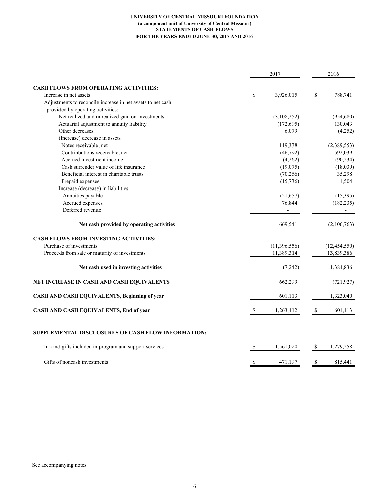#### **UNIVERSITY OF CENTRAL MISSOURI FOUNDATION (a component unit of University of Central Missouri) STATEMENTS OF CASH FLOWS FOR THE YEARS ENDED JUNE 30, 2017 AND 2016**

|                                                             |               | 2017                |    | 2016           |
|-------------------------------------------------------------|---------------|---------------------|----|----------------|
| <b>CASH FLOWS FROM OPERATING ACTIVITIES:</b>                |               |                     |    |                |
| Increase in net assets                                      | \$            | 3,926,015           | \$ | 788,741        |
| Adjustments to reconcile increase in net assets to net cash |               |                     |    |                |
| provided by operating activities:                           |               |                     |    |                |
| Net realized and unrealized gain on investments             |               | (3,108,252)         |    | (954,680)      |
| Actuarial adjustment to annuity liability                   |               |                     |    |                |
| Other decreases                                             |               | (172, 695)<br>6,079 |    | 130,043        |
|                                                             |               |                     |    | (4,252)        |
| (Increase) decrease in assets                               |               |                     |    |                |
| Notes receivable, net                                       |               | 119,338             |    | (2,389,553)    |
| Contrinbutions receivable, net<br>Accrued investment income |               | (46, 792)           |    | 592,039        |
|                                                             |               | (4,262)             |    | (90, 234)      |
| Cash surrender value of life insurance                      |               | (19,075)            |    | (18,039)       |
| Beneficial interest in charitable trusts                    |               | (70, 266)           |    | 35,298         |
| Prepaid expenses                                            |               | (15,736)            |    | 1,504          |
| Increase (decrease) in liabilities                          |               |                     |    |                |
| Annuities payable                                           |               | (21,657)            |    | (15,395)       |
| Accrued expenses                                            |               | 76,844              |    | (182, 235)     |
| Deferred revenue                                            |               | ÷,                  |    |                |
| Net cash provided by operating activities                   |               | 669,541             |    | (2,106,763)    |
| <b>CASH FLOWS FROM INVESTING ACTIVITIES:</b>                |               |                     |    |                |
| Purchase of investments                                     |               | (11, 396, 556)      |    | (12, 454, 550) |
| Proceeds from sale or maturity of investments               |               | 11,389,314          |    | 13,839,386     |
|                                                             |               |                     |    |                |
| Net cash used in investing activities                       |               | (7,242)             |    | 1,384,836      |
| NET INCREASE IN CASH AND CASH EQUIVALENTS                   |               | 662,299             |    | (721, 927)     |
| CASH AND CASH EQUIVALENTS, Beginning of year                |               | 601,113             |    | 1,323,040      |
| CASH AND CASH EQUIVALENTS, End of year                      | <sup>\$</sup> | 1,263,412           | S  | 601,113        |
| SUPPLEMENTAL DISCLOSURES OF CASH FLOW INFORMATION:          |               |                     |    |                |
| In-kind gifts included in program and support services      | \$            | 1,561,020           | \$ | 1,279,258      |

| In King girls included in program and support services |         | .       |
|--------------------------------------------------------|---------|---------|
| Gifts of noncash investments                           | 471 197 | 815.441 |
|                                                        |         |         |

See accompanying notes.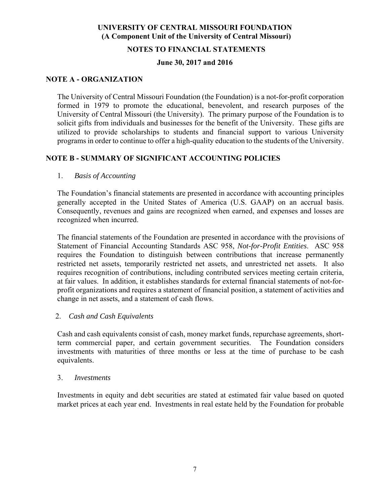### **NOTES TO FINANCIAL STATEMENTS**

#### **June 30, 2017 and 2016**

### **NOTE A - ORGANIZATION**

The University of Central Missouri Foundation (the Foundation) is a not-for-profit corporation formed in 1979 to promote the educational, benevolent, and research purposes of the University of Central Missouri (the University). The primary purpose of the Foundation is to solicit gifts from individuals and businesses for the benefit of the University. These gifts are utilized to provide scholarships to students and financial support to various University programs in order to continue to offer a high-quality education to the students of the University.

#### **NOTE B - SUMMARY OF SIGNIFICANT ACCOUNTING POLICIES**

#### 1. *Basis of Accounting*

The Foundation's financial statements are presented in accordance with accounting principles generally accepted in the United States of America (U.S. GAAP) on an accrual basis. Consequently, revenues and gains are recognized when earned, and expenses and losses are recognized when incurred.

The financial statements of the Foundation are presented in accordance with the provisions of Statement of Financial Accounting Standards ASC 958, *Not-for-Profit Entities*. ASC 958 requires the Foundation to distinguish between contributions that increase permanently restricted net assets, temporarily restricted net assets, and unrestricted net assets. It also requires recognition of contributions, including contributed services meeting certain criteria, at fair values. In addition, it establishes standards for external financial statements of not-forprofit organizations and requires a statement of financial position, a statement of activities and change in net assets, and a statement of cash flows.

#### 2. *Cash and Cash Equivalents*

Cash and cash equivalents consist of cash, money market funds, repurchase agreements, shortterm commercial paper, and certain government securities. The Foundation considers investments with maturities of three months or less at the time of purchase to be cash equivalents.

#### 3. *Investments*

Investments in equity and debt securities are stated at estimated fair value based on quoted market prices at each year end. Investments in real estate held by the Foundation for probable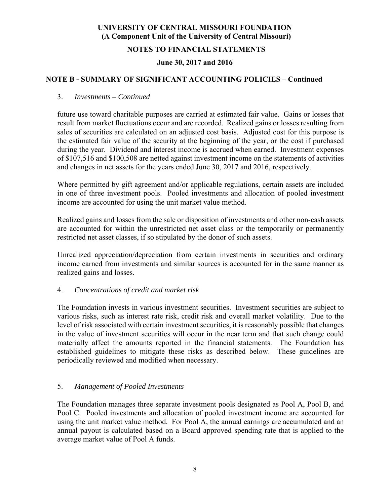### **NOTES TO FINANCIAL STATEMENTS**

#### **June 30, 2017 and 2016**

### **NOTE B - SUMMARY OF SIGNIFICANT ACCOUNTING POLICIES – Continued**

#### 3. *Investments – Continued*

future use toward charitable purposes are carried at estimated fair value. Gains or losses that result from market fluctuations occur and are recorded. Realized gains or losses resulting from sales of securities are calculated on an adjusted cost basis. Adjusted cost for this purpose is the estimated fair value of the security at the beginning of the year, or the cost if purchased during the year. Dividend and interest income is accrued when earned. Investment expenses of \$107,516 and \$100,508 are netted against investment income on the statements of activities and changes in net assets for the years ended June 30, 2017 and 2016, respectively.

Where permitted by gift agreement and/or applicable regulations, certain assets are included in one of three investment pools. Pooled investments and allocation of pooled investment income are accounted for using the unit market value method.

Realized gains and losses from the sale or disposition of investments and other non-cash assets are accounted for within the unrestricted net asset class or the temporarily or permanently restricted net asset classes, if so stipulated by the donor of such assets.

Unrealized appreciation/depreciation from certain investments in securities and ordinary income earned from investments and similar sources is accounted for in the same manner as realized gains and losses.

### 4. *Concentrations of credit and market risk*

The Foundation invests in various investment securities. Investment securities are subject to various risks, such as interest rate risk, credit risk and overall market volatility. Due to the level of risk associated with certain investment securities, it is reasonably possible that changes in the value of investment securities will occur in the near term and that such change could materially affect the amounts reported in the financial statements. The Foundation has established guidelines to mitigate these risks as described below. These guidelines are periodically reviewed and modified when necessary.

### 5. *Management of Pooled Investments*

The Foundation manages three separate investment pools designated as Pool A, Pool B, and Pool C. Pooled investments and allocation of pooled investment income are accounted for using the unit market value method. For Pool A, the annual earnings are accumulated and an annual payout is calculated based on a Board approved spending rate that is applied to the average market value of Pool A funds.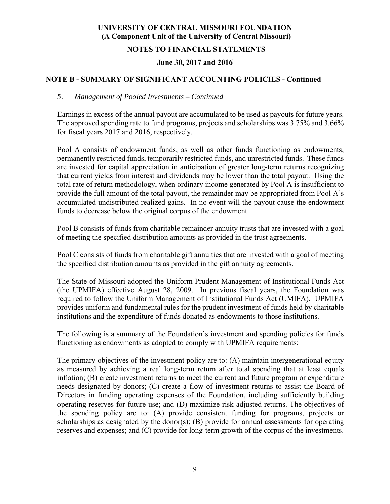### **NOTES TO FINANCIAL STATEMENTS**

#### **June 30, 2017 and 2016**

### **NOTE B - SUMMARY OF SIGNIFICANT ACCOUNTING POLICIES - Continued**

#### 5. *Management of Pooled Investments – Continued*

Earnings in excess of the annual payout are accumulated to be used as payouts for future years. The approved spending rate to fund programs, projects and scholarships was 3.75% and 3.66% for fiscal years 2017 and 2016, respectively.

Pool A consists of endowment funds, as well as other funds functioning as endowments, permanently restricted funds, temporarily restricted funds, and unrestricted funds. These funds are invested for capital appreciation in anticipation of greater long-term returns recognizing that current yields from interest and dividends may be lower than the total payout. Using the total rate of return methodology, when ordinary income generated by Pool A is insufficient to provide the full amount of the total payout, the remainder may be appropriated from Pool A's accumulated undistributed realized gains. In no event will the payout cause the endowment funds to decrease below the original corpus of the endowment.

Pool B consists of funds from charitable remainder annuity trusts that are invested with a goal of meeting the specified distribution amounts as provided in the trust agreements.

Pool C consists of funds from charitable gift annuities that are invested with a goal of meeting the specified distribution amounts as provided in the gift annuity agreements.

The State of Missouri adopted the Uniform Prudent Management of Institutional Funds Act (the UPMIFA) effective August 28, 2009. In previous fiscal years, the Foundation was required to follow the Uniform Management of Institutional Funds Act (UMIFA). UPMIFA provides uniform and fundamental rules for the prudent investment of funds held by charitable institutions and the expenditure of funds donated as endowments to those institutions.

The following is a summary of the Foundation's investment and spending policies for funds functioning as endowments as adopted to comply with UPMIFA requirements:

The primary objectives of the investment policy are to: (A) maintain intergenerational equity as measured by achieving a real long-term return after total spending that at least equals inflation; (B) create investment returns to meet the current and future program or expenditure needs designated by donors; (C) create a flow of investment returns to assist the Board of Directors in funding operating expenses of the Foundation, including sufficiently building operating reserves for future use; and (D) maximize risk-adjusted returns. The objectives of the spending policy are to: (A) provide consistent funding for programs, projects or scholarships as designated by the donor(s); (B) provide for annual assessments for operating reserves and expenses; and (C) provide for long-term growth of the corpus of the investments.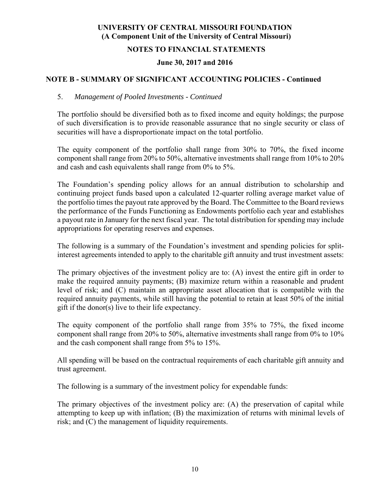### **NOTES TO FINANCIAL STATEMENTS**

#### **June 30, 2017 and 2016**

### **NOTE B - SUMMARY OF SIGNIFICANT ACCOUNTING POLICIES - Continued**

#### 5. *Management of Pooled Investments - Continued*

The portfolio should be diversified both as to fixed income and equity holdings; the purpose of such diversification is to provide reasonable assurance that no single security or class of securities will have a disproportionate impact on the total portfolio.

The equity component of the portfolio shall range from 30% to 70%, the fixed income component shall range from 20% to 50%, alternative investments shall range from 10% to 20% and cash and cash equivalents shall range from 0% to 5%.

The Foundation's spending policy allows for an annual distribution to scholarship and continuing project funds based upon a calculated 12-quarter rolling average market value of the portfolio times the payout rate approved by the Board. The Committee to the Board reviews the performance of the Funds Functioning as Endowments portfolio each year and establishes a payout rate in January for the next fiscal year. The total distribution for spending may include appropriations for operating reserves and expenses.

The following is a summary of the Foundation's investment and spending policies for splitinterest agreements intended to apply to the charitable gift annuity and trust investment assets:

The primary objectives of the investment policy are to: (A) invest the entire gift in order to make the required annuity payments; (B) maximize return within a reasonable and prudent level of risk; and (C) maintain an appropriate asset allocation that is compatible with the required annuity payments, while still having the potential to retain at least 50% of the initial gift if the donor(s) live to their life expectancy.

The equity component of the portfolio shall range from 35% to 75%, the fixed income component shall range from 20% to 50%, alternative investments shall range from 0% to 10% and the cash component shall range from 5% to 15%.

All spending will be based on the contractual requirements of each charitable gift annuity and trust agreement.

The following is a summary of the investment policy for expendable funds:

The primary objectives of the investment policy are: (A) the preservation of capital while attempting to keep up with inflation; (B) the maximization of returns with minimal levels of risk; and (C) the management of liquidity requirements.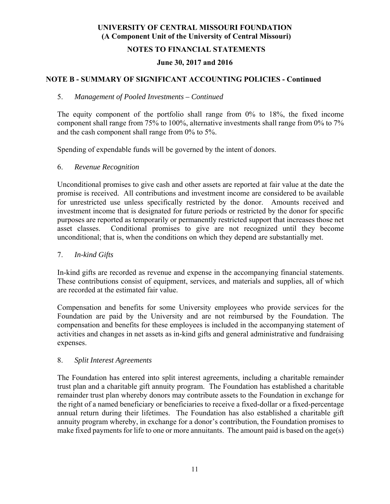### **NOTES TO FINANCIAL STATEMENTS**

### **June 30, 2017 and 2016**

### **NOTE B - SUMMARY OF SIGNIFICANT ACCOUNTING POLICIES - Continued**

### 5. *Management of Pooled Investments – Continued*

The equity component of the portfolio shall range from 0% to 18%, the fixed income component shall range from 75% to 100%, alternative investments shall range from 0% to 7% and the cash component shall range from 0% to 5%.

Spending of expendable funds will be governed by the intent of donors.

### 6. *Revenue Recognition*

Unconditional promises to give cash and other assets are reported at fair value at the date the promise is received. All contributions and investment income are considered to be available for unrestricted use unless specifically restricted by the donor. Amounts received and investment income that is designated for future periods or restricted by the donor for specific purposes are reported as temporarily or permanently restricted support that increases those net asset classes. Conditional promises to give are not recognized until they become unconditional; that is, when the conditions on which they depend are substantially met.

### 7. *In-kind Gifts*

In-kind gifts are recorded as revenue and expense in the accompanying financial statements. These contributions consist of equipment, services, and materials and supplies, all of which are recorded at the estimated fair value.

Compensation and benefits for some University employees who provide services for the Foundation are paid by the University and are not reimbursed by the Foundation. The compensation and benefits for these employees is included in the accompanying statement of activities and changes in net assets as in-kind gifts and general administrative and fundraising expenses.

### 8. *Split Interest Agreements*

The Foundation has entered into split interest agreements, including a charitable remainder trust plan and a charitable gift annuity program. The Foundation has established a charitable remainder trust plan whereby donors may contribute assets to the Foundation in exchange for the right of a named beneficiary or beneficiaries to receive a fixed-dollar or a fixed-percentage annual return during their lifetimes. The Foundation has also established a charitable gift annuity program whereby, in exchange for a donor's contribution, the Foundation promises to make fixed payments for life to one or more annuitants. The amount paid is based on the age(s)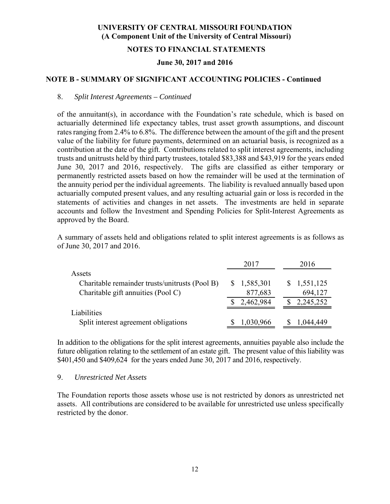#### **NOTES TO FINANCIAL STATEMENTS**

#### **June 30, 2017 and 2016**

#### **NOTE B - SUMMARY OF SIGNIFICANT ACCOUNTING POLICIES - Continued**

#### 8. *Split Interest Agreements – Continued*

of the annuitant(s), in accordance with the Foundation's rate schedule, which is based on actuarially determined life expectancy tables, trust asset growth assumptions, and discount rates ranging from 2.4% to 6.8%. The difference between the amount of the gift and the present value of the liability for future payments, determined on an actuarial basis, is recognized as a contribution at the date of the gift. Contributions related to split interest agreements, including trusts and unitrusts held by third party trustees, totaled \$83,388 and \$43,919 for the years ended June 30, 2017 and 2016, respectively. The gifts are classified as either temporary or permanently restricted assets based on how the remainder will be used at the termination of the annuity period per the individual agreements. The liability is revalued annually based upon actuarially computed present values, and any resulting actuarial gain or loss is recorded in the statements of activities and changes in net assets. The investments are held in separate accounts and follow the Investment and Spending Policies for Split-Interest Agreements as approved by the Board.

A summary of assets held and obligations related to split interest agreements is as follows as of June 30, 2017 and 2016.

|                                                | 2017        | 2016                  |
|------------------------------------------------|-------------|-----------------------|
| Assets                                         |             |                       |
| Charitable remainder trusts/unitrusts (Pool B) | \$1,585,301 | $\frac{1,551,125}{2}$ |
| Charitable gift annuities (Pool C)             | 877,683     | 694,127               |
|                                                | 2,462,984   | 2,245,252             |
| Liabilities                                    |             |                       |
| Split interest agreement obligations           | 1,030,966   | 1,044,449             |

In addition to the obligations for the split interest agreements, annuities payable also include the future obligation relating to the settlement of an estate gift. The present value of this liability was \$401,450 and \$409,624 for the years ended June 30, 2017 and 2016, respectively.

#### 9. *Unrestricted Net Assets*

The Foundation reports those assets whose use is not restricted by donors as unrestricted net assets. All contributions are considered to be available for unrestricted use unless specifically restricted by the donor.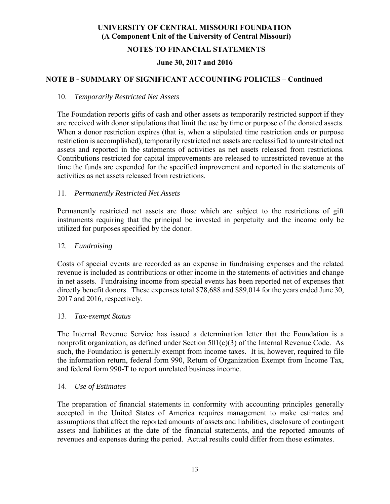### **NOTES TO FINANCIAL STATEMENTS**

#### **June 30, 2017 and 2016**

### **NOTE B - SUMMARY OF SIGNIFICANT ACCOUNTING POLICIES – Continued**

#### 10. *Temporarily Restricted Net Assets*

The Foundation reports gifts of cash and other assets as temporarily restricted support if they are received with donor stipulations that limit the use by time or purpose of the donated assets. When a donor restriction expires (that is, when a stipulated time restriction ends or purpose restriction is accomplished), temporarily restricted net assets are reclassified to unrestricted net assets and reported in the statements of activities as net assets released from restrictions. Contributions restricted for capital improvements are released to unrestricted revenue at the time the funds are expended for the specified improvement and reported in the statements of activities as net assets released from restrictions.

#### 11. *Permanently Restricted Net Assets*

Permanently restricted net assets are those which are subject to the restrictions of gift instruments requiring that the principal be invested in perpetuity and the income only be utilized for purposes specified by the donor.

#### 12. *Fundraising*

Costs of special events are recorded as an expense in fundraising expenses and the related revenue is included as contributions or other income in the statements of activities and change in net assets. Fundraising income from special events has been reported net of expenses that directly benefit donors. These expenses total \$78,688 and \$89,014 for the years ended June 30, 2017 and 2016, respectively.

### 13. *Tax-exempt Status*

The Internal Revenue Service has issued a determination letter that the Foundation is a nonprofit organization, as defined under Section  $501(c)(3)$  of the Internal Revenue Code. As such, the Foundation is generally exempt from income taxes. It is, however, required to file the information return, federal form 990, Return of Organization Exempt from Income Tax, and federal form 990-T to report unrelated business income.

### 14. *Use of Estimates*

The preparation of financial statements in conformity with accounting principles generally accepted in the United States of America requires management to make estimates and assumptions that affect the reported amounts of assets and liabilities, disclosure of contingent assets and liabilities at the date of the financial statements, and the reported amounts of revenues and expenses during the period. Actual results could differ from those estimates.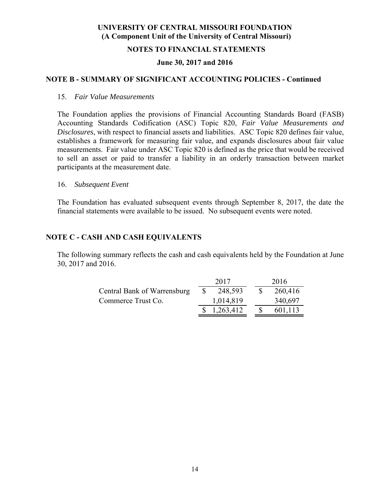#### **NOTES TO FINANCIAL STATEMENTS**

#### **June 30, 2017 and 2016**

#### **NOTE B - SUMMARY OF SIGNIFICANT ACCOUNTING POLICIES - Continued**

#### 15. *Fair Value Measurements*

The Foundation applies the provisions of Financial Accounting Standards Board (FASB) Accounting Standards Codification (ASC) Topic 820, *Fair Value Measurements and Disclosures*, with respect to financial assets and liabilities. ASC Topic 820 defines fair value, establishes a framework for measuring fair value, and expands disclosures about fair value measurements. Fair value under ASC Topic 820 is defined as the price that would be received to sell an asset or paid to transfer a liability in an orderly transaction between market participants at the measurement date.

#### 16. *Subsequent Event*

The Foundation has evaluated subsequent events through September 8, 2017, the date the financial statements were available to be issued. No subsequent events were noted.

#### **NOTE C - CASH AND CASH EQUIVALENTS**

The following summary reflects the cash and cash equivalents held by the Foundation at June 30, 2017 and 2016.

|                             | 2017                  |  | 2016    |
|-----------------------------|-----------------------|--|---------|
| Central Bank of Warrensburg | 248,593               |  | 260,416 |
| Commerce Trust Co.          | 1,014,819             |  | 340,697 |
|                             | $\frac{1,263,412}{2}$ |  | 601,113 |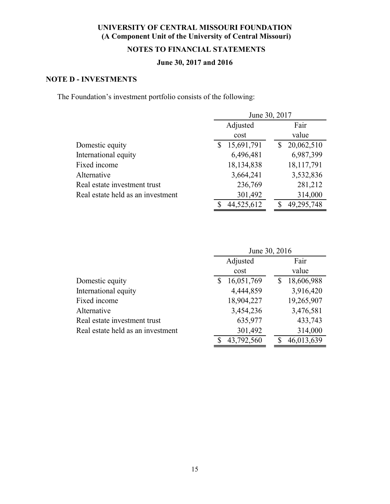### **NOTES TO FINANCIAL STATEMENTS**

### **June 30, 2017 and 2016**

### **NOTE D - INVESTMENTS**

The Foundation's investment portfolio consists of the following:

|                                   | June 30, 2017   |                 |
|-----------------------------------|-----------------|-----------------|
|                                   | Adjusted        | Fair            |
|                                   | cost            | value           |
| Domestic equity                   | 15,691,791<br>S | 20,062,510<br>S |
| International equity              | 6,496,481       | 6,987,399       |
| Fixed income                      | 18, 134, 838    | 18,117,791      |
| Alternative                       | 3,664,241       | 3,532,836       |
| Real estate investment trust      | 236,769         | 281,212         |
| Real estate held as an investment | 301,492         | 314,000         |
|                                   | 44,525,612      | 49,295,748      |

|                                   |                 | June 30, 2016    |
|-----------------------------------|-----------------|------------------|
|                                   | Adjusted        | Fair             |
|                                   | cost            | value            |
| Domestic equity                   | 16,051,769<br>S | 18,606,988<br>\$ |
| International equity              | 4,444,859       | 3,916,420        |
| Fixed income                      | 18,904,227      | 19,265,907       |
| Alternative                       | 3,454,236       | 3,476,581        |
| Real estate investment trust      | 635,977         | 433,743          |
| Real estate held as an investment | 301,492         | 314,000          |
|                                   | 43,792,560      | 46,013,639       |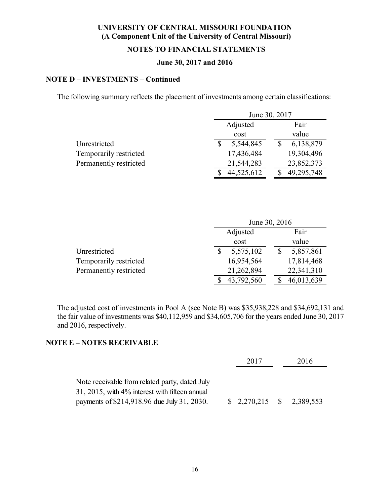### **NOTES TO FINANCIAL STATEMENTS**

#### **June 30, 2017 and 2016**

#### **NOTE D – INVESTMENTS – Continued**

The following summary reflects the placement of investments among certain classifications:

|                        | June 30, 2017 |            |
|------------------------|---------------|------------|
|                        | Adjusted      | Fair       |
|                        | cost          | value      |
| Unrestricted           | 5,544,845     | 6,138,879  |
| Temporarily restricted | 17,436,484    | 19,304,496 |
| Permanently restricted | 21,544,283    | 23,852,373 |
|                        | 44,525,612    | 49,295,748 |

|                        | June 30, 2016            |
|------------------------|--------------------------|
|                        | Adjusted<br>Fair         |
|                        | value<br>cost            |
| Unrestricted           | 5,575,102<br>5,857,861   |
| Temporarily restricted | 17,814,468<br>16,954,564 |
| Permanently restricted | 22,341,310<br>21,262,894 |
|                        | 43,792,560<br>46,013,639 |

The adjusted cost of investments in Pool A (see Note B) was \$35,938,228 and \$34,692,131 and the fair value of investments was \$40,112,959 and \$34,605,706 for the years ended June 30, 2017 and 2016, respectively.

#### **NOTE E – NOTES RECEIVABLE**

|                                                | 2017                                           | 2016 |
|------------------------------------------------|------------------------------------------------|------|
|                                                |                                                |      |
| Note receivable from related party, dated July |                                                |      |
| 31, 2015, with 4% interest with fifteen annual |                                                |      |
| payments of \$214,918.96 due July 31, 2030.    | $\frac{1}{2}$ , 2, 270, 215 \ \ \$ 2, 389, 553 |      |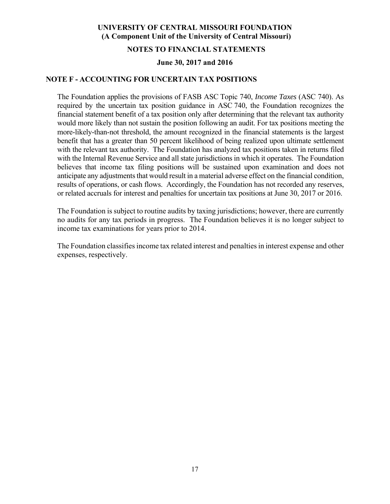#### **NOTES TO FINANCIAL STATEMENTS**

#### **June 30, 2017 and 2016**

#### **NOTE F - ACCOUNTING FOR UNCERTAIN TAX POSITIONS**

The Foundation applies the provisions of FASB ASC Topic 740, *Income Taxes* (ASC 740). As required by the uncertain tax position guidance in ASC 740, the Foundation recognizes the financial statement benefit of a tax position only after determining that the relevant tax authority would more likely than not sustain the position following an audit. For tax positions meeting the more-likely-than-not threshold, the amount recognized in the financial statements is the largest benefit that has a greater than 50 percent likelihood of being realized upon ultimate settlement with the relevant tax authority. The Foundation has analyzed tax positions taken in returns filed with the Internal Revenue Service and all state jurisdictions in which it operates. The Foundation believes that income tax filing positions will be sustained upon examination and does not anticipate any adjustments that would result in a material adverse effect on the financial condition, results of operations, or cash flows. Accordingly, the Foundation has not recorded any reserves, or related accruals for interest and penalties for uncertain tax positions at June 30, 2017 or 2016.

The Foundation is subject to routine audits by taxing jurisdictions; however, there are currently no audits for any tax periods in progress. The Foundation believes it is no longer subject to income tax examinations for years prior to 2014.

The Foundation classifies income tax related interest and penalties in interest expense and other expenses, respectively.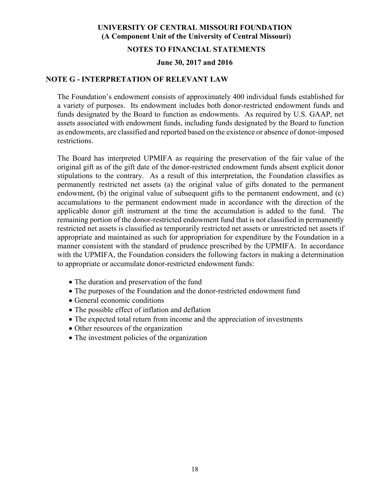#### **NOTES TO FINANCIAL STATEMENTS**

#### **June 30, 2017 and 2016**

### **NOTE G - INTERPRETATION OF RELEVANT LAW**

The Foundation's endowment consists of approximately 400 individual funds established for a variety of purposes. Its endowment includes both donor-restricted endowment funds and funds designated by the Board to function as endowments. As required by U.S. GAAP, net assets associated with endowment funds, including funds designated by the Board to function as endowments, are classified and reported based on the existence or absence of donor-imposed restrictions.

The Board has interpreted UPMIFA as requiring the preservation of the fair value of the original gift as of the gift date of the donor-restricted endowment funds absent explicit donor stipulations to the contrary. As a result of this interpretation, the Foundation classifies as permanently restricted net assets (a) the original value of gifts donated to the permanent endowment, (b) the original value of subsequent gifts to the permanent endowment, and (c) accumulations to the permanent endowment made in accordance with the direction of the applicable donor gift instrument at the time the accumulation is added to the fund. The remaining portion of the donor-restricted endowment fund that is not classified in permanently restricted net assets is classified as temporarily restricted net assets or unrestricted net assets if appropriate and maintained as such for appropriation for expenditure by the Foundation in a manner consistent with the standard of prudence prescribed by the UPMIFA. In accordance with the UPMIFA, the Foundation considers the following factors in making a determination to appropriate or accumulate donor-restricted endowment funds:

- The duration and preservation of the fund
- The purposes of the Foundation and the donor-restricted endowment fund
- General economic conditions
- The possible effect of inflation and deflation
- The expected total return from income and the appreciation of investments
- Other resources of the organization
- The investment policies of the organization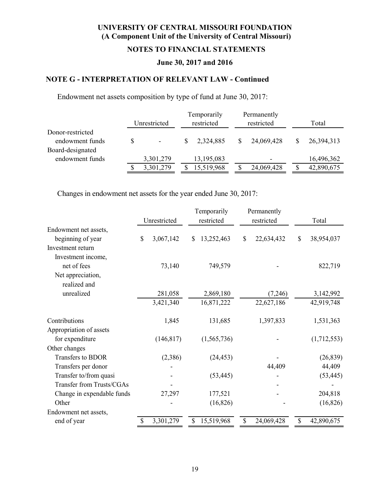### **NOTES TO FINANCIAL STATEMENTS**

### **June 30, 2017 and 2016**

### **NOTE G - INTERPRETATION OF RELEVANT LAW - Continued**

Endowment net assets composition by type of fund at June 30, 2017:

|                  |   | Unrestricted             | Temporarily<br>restricted | Permanently<br>restricted |  | Total      |
|------------------|---|--------------------------|---------------------------|---------------------------|--|------------|
| Donor-restricted |   |                          |                           |                           |  |            |
| endowment funds  | S | $\overline{\phantom{a}}$ | 2,324,885                 | 24,069,428                |  | 26,394,313 |
| Board-designated |   |                          |                           |                           |  |            |
| endowment funds  |   | 3,301,279                | 13,195,083                | -                         |  | 16,496,362 |
|                  |   | 3,301,279                | 15,519,968                | 24,069,428                |  | 42,890,675 |

Changes in endowment net assets for the year ended June 30, 2017:

|                            |                 | Temporarily       | Permanently                |                  |
|----------------------------|-----------------|-------------------|----------------------------|------------------|
|                            | Unrestricted    | restricted        | restricted                 | Total            |
| Endowment net assets,      |                 |                   |                            |                  |
| beginning of year          | \$<br>3,067,142 | 13,252,463<br>\$. | $\mathbb{S}$<br>22,634,432 | \$<br>38,954,037 |
| Investment return          |                 |                   |                            |                  |
| Investment income,         |                 |                   |                            |                  |
| net of fees                | 73,140          | 749,579           |                            | 822,719          |
| Net appreciation,          |                 |                   |                            |                  |
| realized and               |                 |                   |                            |                  |
| unrealized                 | 281,058         | 2,869,180         | (7,246)                    | 3,142,992        |
|                            | 3,421,340       | 16,871,222        | 22,627,186                 | 42,919,748       |
|                            |                 |                   |                            |                  |
| Contributions              | 1,845           | 131,685           | 1,397,833                  | 1,531,363        |
| Appropriation of assets    |                 |                   |                            |                  |
| for expenditure            | (146, 817)      | (1, 565, 736)     |                            | (1,712,553)      |
| Other changes              |                 |                   |                            |                  |
| Transfers to BDOR          | (2,386)         | (24, 453)         |                            | (26, 839)        |
| Transfers per donor        |                 |                   | 44,409                     | 44,409           |
| Transfer to/from quasi     |                 | (53, 445)         |                            | (53, 445)        |
| Transfer from Trusts/CGAs  |                 |                   |                            |                  |
| Change in expendable funds | 27,297          | 177,521           |                            | 204,818          |
| Other                      |                 | (16, 826)         |                            | (16,826)         |
| Endowment net assets,      |                 |                   |                            |                  |
| end of year                | 3,301,279<br>S  | 15,519,968<br>S   | 24,069,428<br>\$           | 42,890,675<br>S  |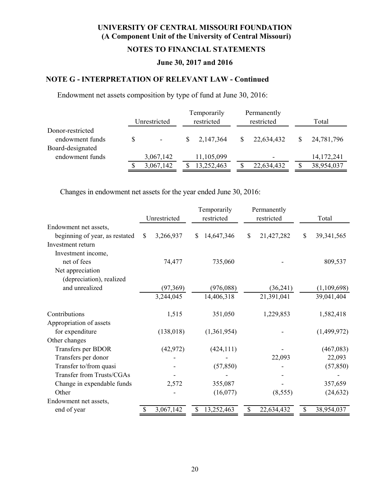### **NOTES TO FINANCIAL STATEMENTS**

#### **June 30, 2017 and 2016**

### **NOTE G - INTERPRETATION OF RELEVANT LAW - Continued**

Endowment net assets composition by type of fund at June 30, 2016:

|                                                         |   | Unrestricted | Temporarily<br>restricted |   | Permanently<br>restricted | Total        |
|---------------------------------------------------------|---|--------------|---------------------------|---|---------------------------|--------------|
| Donor-restricted<br>endowment funds<br>Board-designated | S | -            | 2,147,364                 | S | 22,634,432                | 24,781,796   |
| endowment funds                                         |   | 3,067,142    | 11,105,099                |   | ٠                         | 14, 172, 241 |
|                                                         |   | 3,067,142    | 13,252,463                |   | 22,634,432                | 38,954,037   |

Changes in endowment net assets for the year ended June 30, 2016:

|                                | Unrestricted    | Temporarily<br>Permanently<br>restricted<br>restricted |             |    |            | Total         |              |
|--------------------------------|-----------------|--------------------------------------------------------|-------------|----|------------|---------------|--------------|
| Endowment net assets,          |                 |                                                        |             |    |            |               |              |
| beginning of year, as restated | \$<br>3,266,937 | S.                                                     | 14,647,346  | \$ | 21,427,282 | $\mathcal{S}$ | 39, 341, 565 |
| Investment return              |                 |                                                        |             |    |            |               |              |
| Investment income,             |                 |                                                        |             |    |            |               |              |
| net of fees                    | 74,477          |                                                        | 735,060     |    |            |               | 809,537      |
| Net appreciation               |                 |                                                        |             |    |            |               |              |
| (depreciation), realized       |                 |                                                        |             |    |            |               |              |
| and unrealized                 | (97, 369)       |                                                        | (976,088)   |    | (36,241)   |               | (1,109,698)  |
|                                | 3,244,045       |                                                        | 14,406,318  |    | 21,391,041 |               | 39,041,404   |
|                                |                 |                                                        |             |    |            |               |              |
| Contributions                  | 1,515           |                                                        | 351,050     |    | 1,229,853  |               | 1,582,418    |
| Appropriation of assets        |                 |                                                        |             |    |            |               |              |
| for expenditure                | (138, 018)      |                                                        | (1,361,954) |    |            |               | (1,499,972)  |
| Other changes                  |                 |                                                        |             |    |            |               |              |
| Transfers per BDOR             | (42, 972)       |                                                        | (424, 111)  |    |            |               | (467,083)    |
| Transfers per donor            |                 |                                                        |             |    | 22,093     |               | 22,093       |
| Transfer to/from quasi         |                 |                                                        | (57, 850)   |    |            |               | (57, 850)    |
| Transfer from Trusts/CGAs      |                 |                                                        |             |    |            |               |              |
| Change in expendable funds     | 2,572           |                                                        | 355,087     |    |            |               | 357,659      |
| Other                          |                 |                                                        | (16,077)    |    | (8, 555)   |               | (24, 632)    |
| Endowment net assets,          |                 |                                                        |             |    |            |               |              |
| end of year                    | 3,067,142       | \$                                                     | 13,252,463  | \$ | 22,634,432 | \$            | 38,954,037   |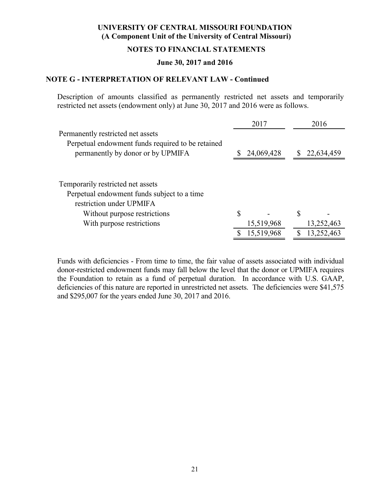### **NOTES TO FINANCIAL STATEMENTS**

#### **June 30, 2017 and 2016**

#### **NOTE G - INTERPRETATION OF RELEVANT LAW - Continued**

Description of amounts classified as permanently restricted net assets and temporarily restricted net assets (endowment only) at June 30, 2017 and 2016 were as follows.

|                                                   | 2017       |    | 2016       |
|---------------------------------------------------|------------|----|------------|
| Permanently restricted net assets                 |            |    |            |
| Perpetual endowment funds required to be retained |            |    |            |
| permanently by donor or by UPMIFA                 | 24,069,428 | S  | 22,634,459 |
|                                                   |            |    |            |
| Temporarily restricted net assets                 |            |    |            |
| Perpetual endowment funds subject to a time       |            |    |            |
| restriction under UPMIFA                          |            |    |            |
| Without purpose restrictions                      | \$         | \$ |            |
| With purpose restrictions                         | 15,519,968 |    | 13,252,463 |
|                                                   | 15,519,968 |    | 13,252,463 |

Funds with deficiencies - From time to time, the fair value of assets associated with individual donor-restricted endowment funds may fall below the level that the donor or UPMIFA requires the Foundation to retain as a fund of perpetual duration. In accordance with U.S. GAAP, deficiencies of this nature are reported in unrestricted net assets. The deficiencies were \$41,575 and \$295,007 for the years ended June 30, 2017 and 2016.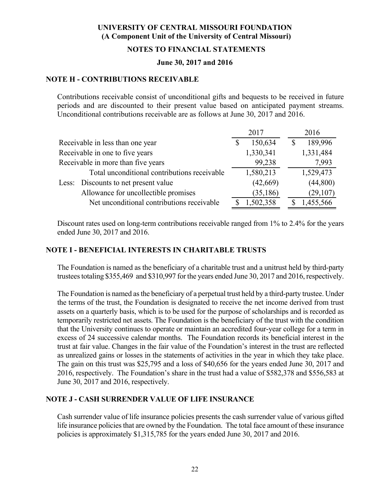#### **NOTES TO FINANCIAL STATEMENTS**

#### **June 30, 2017 and 2016**

### **NOTE H - CONTRIBUTIONS RECEIVABLE**

Contributions receivable consist of unconditional gifts and bequests to be received in future periods and are discounted to their present value based on anticipated payment streams. Unconditional contributions receivable are as follows at June 30, 2017 and 2016.

|                                              | 2017      | 2016      |
|----------------------------------------------|-----------|-----------|
| Receivable in less than one year             | 150,634   | 189,996   |
| Receivable in one to five years              | 1,330,341 | 1,331,484 |
| Receivable in more than five years           | 99,238    | 7,993     |
| Total unconditional contributions receivable | 1,580,213 | 1,529,473 |
| Discounts to net present value<br>Less:      | (42,669)  | (44,800)  |
| Allowance for uncollectible promises         | (35, 186) | (29,107)  |
| Net unconditional contributions receivable   | 1,502,358 | 1,455,566 |

Discount rates used on long-term contributions receivable ranged from 1% to 2.4% for the years ended June 30, 2017 and 2016.

### **NOTE I - BENEFICIAL INTERESTS IN CHARITABLE TRUSTS**

The Foundation is named as the beneficiary of a charitable trust and a unitrust held by third-party trustees totaling \$355,469 and \$310,997 for the years ended June 30, 2017 and 2016, respectively.

The Foundation is named as the beneficiary of a perpetual trust held by a third-party trustee. Under the terms of the trust, the Foundation is designated to receive the net income derived from trust assets on a quarterly basis, which is to be used for the purpose of scholarships and is recorded as temporarily restricted net assets. The Foundation is the beneficiary of the trust with the condition that the University continues to operate or maintain an accredited four-year college for a term in excess of 24 successive calendar months. The Foundation records its beneficial interest in the trust at fair value. Changes in the fair value of the Foundation's interest in the trust are reflected as unrealized gains or losses in the statements of activities in the year in which they take place. The gain on this trust was \$25,795 and a loss of \$40,656 for the years ended June 30, 2017 and 2016, respectively. The Foundation's share in the trust had a value of \$582,378 and \$556,583 at June 30, 2017 and 2016, respectively.

### **NOTE J - CASH SURRENDER VALUE OF LIFE INSURANCE**

Cash surrender value of life insurance policies presents the cash surrender value of various gifted life insurance policies that are owned by the Foundation. The total face amount of these insurance policies is approximately \$1,315,785 for the years ended June 30, 2017 and 2016.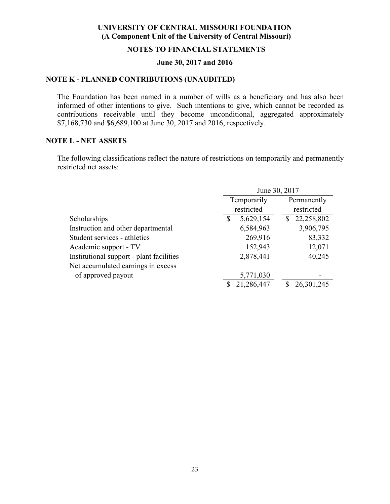### **NOTES TO FINANCIAL STATEMENTS**

#### **June 30, 2017 and 2016**

### **NOTE K - PLANNED CONTRIBUTIONS (UNAUDITED)**

The Foundation has been named in a number of wills as a beneficiary and has also been informed of other intentions to give. Such intentions to give, which cannot be recorded as contributions receivable until they become unconditional, aggregated approximately \$7,168,730 and \$6,689,100 at June 30, 2017 and 2016, respectively.

### **NOTE L - NET ASSETS**

The following classifications reflect the nature of restrictions on temporarily and permanently restricted net assets:

|                                          |   | June 30, 2017 |   |              |  |  |
|------------------------------------------|---|---------------|---|--------------|--|--|
|                                          |   | Temporarily   |   | Permanently  |  |  |
|                                          |   | restricted    |   | restricted   |  |  |
| Scholarships                             | S | 5,629,154     | S | 22,258,802   |  |  |
| Instruction and other departmental       |   | 6,584,963     |   | 3,906,795    |  |  |
| Student services - athletics             |   | 269,916       |   | 83,332       |  |  |
| Academic support - TV                    |   | 152,943       |   | 12,071       |  |  |
| Institutional support - plant facilities |   | 2,878,441     |   | 40,245       |  |  |
| Net accumulated earnings in excess       |   |               |   |              |  |  |
| of approved payout                       |   | 5,771,030     |   |              |  |  |
|                                          |   | 21,286,447    |   | 26, 301, 245 |  |  |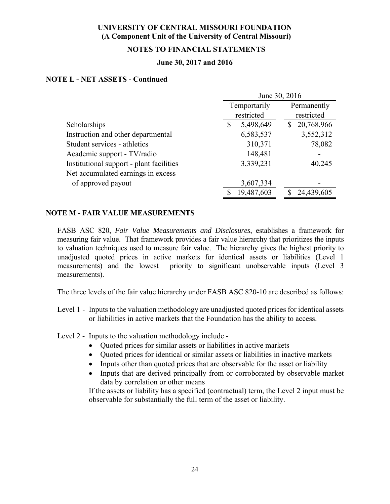#### **NOTES TO FINANCIAL STATEMENTS**

#### **June 30, 2017 and 2016**

#### **NOTE L - NET ASSETS - Continued**

|                                          | June 30, 2016  |             |  |  |  |
|------------------------------------------|----------------|-------------|--|--|--|
|                                          | Temportarily   | Permanently |  |  |  |
|                                          | restricted     | restricted  |  |  |  |
| Scholarships                             | 5,498,649<br>S | 20,768,966  |  |  |  |
| Instruction and other departmental       | 6,583,537      | 3,552,312   |  |  |  |
| Student services - athletics             | 310,371        | 78,082      |  |  |  |
| Academic support - TV/radio              | 148,481        |             |  |  |  |
| Institutional support - plant facilities | 3,339,231      | 40,245      |  |  |  |
| Net accumulated earnings in excess       |                |             |  |  |  |
| of approved payout                       | 3,607,334      |             |  |  |  |
|                                          | 19,487,603     | 24,439,605  |  |  |  |

### **NOTE M - FAIR VALUE MEASUREMENTS**

FASB ASC 820, *Fair Value Measurements and Disclosures*, establishes a framework for measuring fair value. That framework provides a fair value hierarchy that prioritizes the inputs to valuation techniques used to measure fair value. The hierarchy gives the highest priority to unadjusted quoted prices in active markets for identical assets or liabilities (Level 1 measurements) and the lowest priority to significant unobservable inputs (Level 3 measurements).

The three levels of the fair value hierarchy under FASB ASC 820-10 are described as follows:

Level 1 - Inputs to the valuation methodology are unadjusted quoted prices for identical assets or liabilities in active markets that the Foundation has the ability to access.

Level 2 - Inputs to the valuation methodology include -

- Quoted prices for similar assets or liabilities in active markets
- Quoted prices for identical or similar assets or liabilities in inactive markets
- Inputs other than quoted prices that are observable for the asset or liability
- Inputs that are derived principally from or corroborated by observable market data by correlation or other means

 If the assets or liability has a specified (contractual) term, the Level 2 input must be observable for substantially the full term of the asset or liability.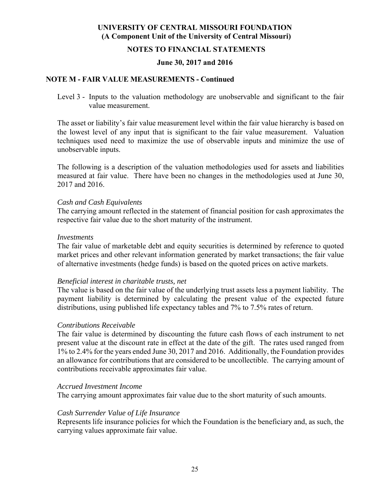#### **NOTES TO FINANCIAL STATEMENTS**

#### **June 30, 2017 and 2016**

#### **NOTE M - FAIR VALUE MEASUREMENTS - Continued**

Level 3 - Inputs to the valuation methodology are unobservable and significant to the fair value measurement.

The asset or liability's fair value measurement level within the fair value hierarchy is based on the lowest level of any input that is significant to the fair value measurement. Valuation techniques used need to maximize the use of observable inputs and minimize the use of unobservable inputs.

The following is a description of the valuation methodologies used for assets and liabilities measured at fair value. There have been no changes in the methodologies used at June 30, 2017 and 2016.

#### *Cash and Cash Equivalents*

The carrying amount reflected in the statement of financial position for cash approximates the respective fair value due to the short maturity of the instrument.

#### *Investments*

The fair value of marketable debt and equity securities is determined by reference to quoted market prices and other relevant information generated by market transactions; the fair value of alternative investments (hedge funds) is based on the quoted prices on active markets.

#### *Beneficial interest in charitable trusts, net*

The value is based on the fair value of the underlying trust assets less a payment liability. The payment liability is determined by calculating the present value of the expected future distributions, using published life expectancy tables and 7% to 7.5% rates of return.

#### *Contributions Receivable*

The fair value is determined by discounting the future cash flows of each instrument to net present value at the discount rate in effect at the date of the gift. The rates used ranged from 1% to 2.4% for the years ended June 30, 2017 and 2016. Additionally, the Foundation provides an allowance for contributions that are considered to be uncollectible. The carrying amount of contributions receivable approximates fair value.

#### *Accrued Investment Income*

The carrying amount approximates fair value due to the short maturity of such amounts.

#### *Cash Surrender Value of Life Insurance*

Represents life insurance policies for which the Foundation is the beneficiary and, as such, the carrying values approximate fair value.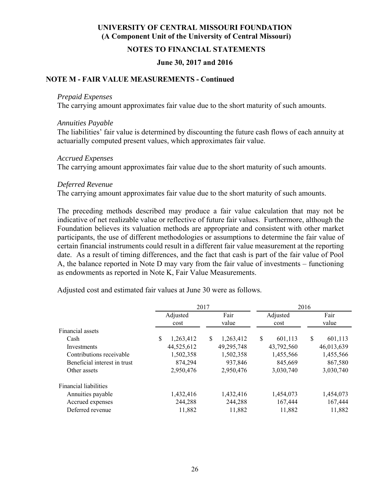#### **NOTES TO FINANCIAL STATEMENTS**

#### **June 30, 2017 and 2016**

#### **NOTE M - FAIR VALUE MEASUREMENTS - Continued**

#### *Prepaid Expenses*

The carrying amount approximates fair value due to the short maturity of such amounts.

#### *Annuities Payable*

The liabilities' fair value is determined by discounting the future cash flows of each annuity at actuarially computed present values, which approximates fair value.

#### *Accrued Expenses*

The carrying amount approximates fair value due to the short maturity of such amounts.

#### *Deferred Revenue*

The carrying amount approximates fair value due to the short maturity of such amounts.

The preceding methods described may produce a fair value calculation that may not be indicative of net realizable value or reflective of future fair values. Furthermore, although the Foundation believes its valuation methods are appropriate and consistent with other market participants, the use of different methodologies or assumptions to determine the fair value of certain financial instruments could result in a different fair value measurement at the reporting date. As a result of timing differences, and the fact that cash is part of the fair value of Pool A, the balance reported in Note D may vary from the fair value of investments – functioning as endowments as reported in Note K, Fair Value Measurements.

Adjusted cost and estimated fair values at June 30 were as follows.

|                              | 2017 |            |               | 2016       |          |            |               |            |
|------------------------------|------|------------|---------------|------------|----------|------------|---------------|------------|
| Adjusted                     |      |            | Fair          |            | Adjusted |            | Fair          |            |
|                              |      | cost       |               | value      |          | cost       |               | value      |
| Financial assets             |      |            |               |            |          |            |               |            |
| Cash                         | \$   | 1,263,412  | <sup>\$</sup> | 1,263,412  | S.       | 601,113    | <sup>\$</sup> | 601,113    |
| Investments                  |      | 44,525,612 |               | 49,295,748 |          | 43,792,560 |               | 46,013,639 |
| Contributions receivable     |      | 1,502,358  |               | 1,502,358  |          | 1,455,566  |               | 1,455,566  |
| Beneficial interest in trust |      | 874,294    |               | 937,846    |          | 845,669    |               | 867,580    |
| Other assets                 |      | 2,950,476  |               | 2,950,476  |          | 3,030,740  |               | 3,030,740  |
| Financial liabilities        |      |            |               |            |          |            |               |            |
| Annuities payable            |      | 1,432,416  |               | 1,432,416  |          | 1,454,073  |               | 1,454,073  |
| Accrued expenses             |      | 244,288    |               | 244,288    |          | 167,444    |               | 167,444    |
| Deferred revenue             |      | 11,882     |               | 11,882     |          | 11,882     |               | 11,882     |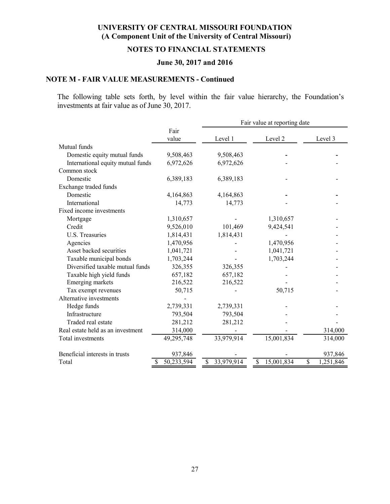### **NOTES TO FINANCIAL STATEMENTS**

#### **June 30, 2017 and 2016**

### **NOTE M - FAIR VALUE MEASUREMENTS - Continued**

The following table sets forth, by level within the fair value hierarchy, the Foundation's investments at fair value as of June 30, 2017.

|                                   |                  | Fair value at reporting date |                  |                 |  |  |
|-----------------------------------|------------------|------------------------------|------------------|-----------------|--|--|
|                                   | Fair             |                              |                  |                 |  |  |
|                                   | value            | Level 1                      | Level 2          | Level 3         |  |  |
| Mutual funds                      |                  |                              |                  |                 |  |  |
| Domestic equity mutual funds      | 9,508,463        | 9,508,463                    |                  |                 |  |  |
| International equity mutual funds | 6,972,626        | 6,972,626                    |                  |                 |  |  |
| Common stock                      |                  |                              |                  |                 |  |  |
| Domestic                          | 6,389,183        | 6,389,183                    |                  |                 |  |  |
| Exchange traded funds             |                  |                              |                  |                 |  |  |
| Domestic                          | 4,164,863        | 4,164,863                    |                  |                 |  |  |
| International                     | 14,773           | 14,773                       |                  |                 |  |  |
| Fixed income investments          |                  |                              |                  |                 |  |  |
| Mortgage                          | 1,310,657        |                              | 1,310,657        |                 |  |  |
| Credit                            | 9,526,010        | 101,469                      | 9,424,541        |                 |  |  |
| U.S. Treasuries                   | 1,814,431        | 1,814,431                    |                  |                 |  |  |
| Agencies                          | 1,470,956        |                              | 1,470,956        |                 |  |  |
| Asset backed securities           | 1,041,721        |                              | 1,041,721        |                 |  |  |
| Taxable municipal bonds           | 1,703,244        |                              | 1,703,244        |                 |  |  |
| Diversified taxable mutual funds  | 326,355          | 326,355                      |                  |                 |  |  |
| Taxable high yield funds          | 657,182          | 657,182                      |                  |                 |  |  |
| Emerging markets                  | 216,522          | 216,522                      |                  |                 |  |  |
| Tax exempt revenues               | 50,715           |                              | 50,715           |                 |  |  |
| Alternative investments           |                  |                              |                  |                 |  |  |
| Hedge funds                       | 2,739,331        | 2,739,331                    |                  |                 |  |  |
| Infrastructure                    | 793,504          | 793,504                      |                  |                 |  |  |
| Traded real estate                | 281,212          | 281,212                      |                  |                 |  |  |
| Real estate held as an investment | 314,000          |                              |                  | 314,000         |  |  |
| Total investments                 | 49,295,748       | 33,979,914                   | 15,001,834       | 314,000         |  |  |
| Beneficial interests in trusts    | 937,846          |                              |                  | 937,846         |  |  |
| Total                             | 50,233,594<br>\$ | 33,979,914<br>\$             | 15,001,834<br>\$ | \$<br>1,251,846 |  |  |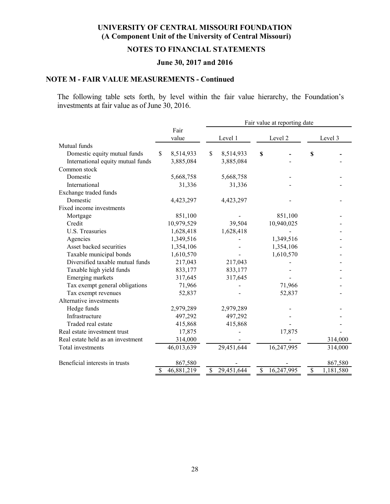### **NOTES TO FINANCIAL STATEMENTS**

#### **June 30, 2017 and 2016**

### **NOTE M - FAIR VALUE MEASUREMENTS - Continued**

The following table sets forth, by level within the fair value hierarchy, the Foundation's investments at fair value as of June 30, 2016.

|                                   |                 | Fair value at reporting date |                  |                              |  |  |
|-----------------------------------|-----------------|------------------------------|------------------|------------------------------|--|--|
|                                   | Fair            |                              |                  |                              |  |  |
|                                   | value           | Level 1                      | Level 2          | Level 3                      |  |  |
| Mutual funds                      |                 |                              |                  |                              |  |  |
| Domestic equity mutual funds      | 8,514,933<br>\$ | \$<br>8,514,933              | \$               | \$                           |  |  |
| International equity mutual funds | 3,885,084       | 3,885,084                    |                  |                              |  |  |
| Common stock                      |                 |                              |                  |                              |  |  |
| Domestic                          | 5,668,758       | 5,668,758                    |                  |                              |  |  |
| International                     | 31,336          | 31,336                       |                  |                              |  |  |
| Exchange traded funds             |                 |                              |                  |                              |  |  |
| Domestic                          | 4,423,297       | 4,423,297                    |                  |                              |  |  |
| Fixed income investments          |                 |                              |                  |                              |  |  |
| Mortgage                          | 851,100         |                              | 851,100          |                              |  |  |
| Credit                            | 10,979,529      | 39,504                       | 10,940,025       |                              |  |  |
| <b>U.S. Treasuries</b>            | 1,628,418       | 1,628,418                    |                  |                              |  |  |
| Agencies                          | 1,349,516       |                              | 1,349,516        |                              |  |  |
| Asset backed securities           | 1,354,106       |                              | 1,354,106        |                              |  |  |
| Taxable municipal bonds           | 1,610,570       |                              | 1,610,570        |                              |  |  |
| Diversified taxable mutual funds  | 217,043         | 217,043                      |                  |                              |  |  |
| Taxable high yield funds          | 833,177         | 833,177                      |                  |                              |  |  |
| Emerging markets                  | 317,645         | 317,645                      |                  |                              |  |  |
| Tax exempt general obligations    | 71,966          |                              | 71,966           |                              |  |  |
| Tax exempt revenues               | 52,837          |                              | 52,837           |                              |  |  |
| Alternative investments           |                 |                              |                  |                              |  |  |
| Hedge funds                       | 2,979,289       | 2,979,289                    |                  |                              |  |  |
| Infrastructure                    | 497,292         | 497,292                      |                  |                              |  |  |
| Traded real estate                | 415,868         | 415,868                      |                  |                              |  |  |
| Real estate investment trust      | 17,875          |                              | 17,875           |                              |  |  |
| Real estate held as an investment | 314,000         |                              |                  | 314,000                      |  |  |
| Total investments                 | 46,013,639      | 29,451,644                   | 16,247,995       | 314,000                      |  |  |
| Beneficial interests in trusts    | 867,580         |                              |                  | 867,580                      |  |  |
|                                   | 46,881,219<br>S | 29,451,644<br>\$             | 16,247,995<br>\$ | \$<br>$\overline{1,}181,580$ |  |  |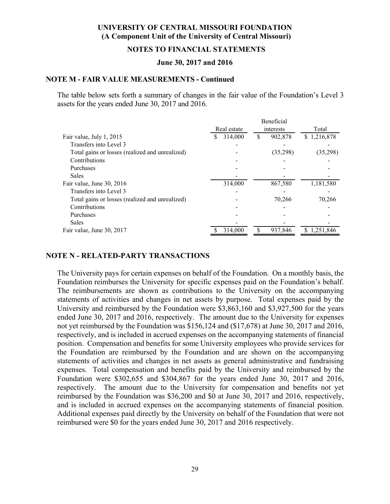#### **NOTES TO FINANCIAL STATEMENTS**

#### **June 30, 2017 and 2016**

#### **NOTE M - FAIR VALUE MEASUREMENTS - Continued**

The table below sets forth a summary of changes in the fair value of the Foundation's Level 3 assets for the years ended June 30, 2017 and 2016.

|                                                 | Real estate  | <b>Beneficial</b><br>interests | Total       |
|-------------------------------------------------|--------------|--------------------------------|-------------|
| Fair value, July 1, 2015                        | 314,000<br>S | \$<br>902,878                  | \$1,216,878 |
| Transfers into Level 3                          |              |                                |             |
| Total gains or losses (realized and unrealized) |              | (35,298)                       | (35,298)    |
| Contributions                                   |              |                                |             |
| Purchases                                       |              |                                |             |
| <b>Sales</b>                                    |              |                                |             |
| Fair value, June 30, 2016                       | 314,000      | 867,580                        | 1,181,580   |
| Transfers into Level 3                          |              |                                |             |
| Total gains or losses (realized and unrealized) |              | 70,266                         | 70,266      |
| Contributions                                   |              |                                |             |
| Purchases                                       |              |                                |             |
| <b>Sales</b>                                    |              |                                |             |
| Fair value, June 30, 2017                       | 314,000      | 937,846                        | 1,251,846   |

### **NOTE N - RELATED-PARTY TRANSACTIONS**

The University pays for certain expenses on behalf of the Foundation. On a monthly basis, the Foundation reimburses the University for specific expenses paid on the Foundation's behalf. The reimbursements are shown as contributions to the University on the accompanying statements of activities and changes in net assets by purpose. Total expenses paid by the University and reimbursed by the Foundation were \$3,863,160 and \$3,927,500 for the years ended June 30, 2017 and 2016, respectively. The amount due to the University for expenses not yet reimbursed by the Foundation was \$156,124 and (\$17,678) at June 30, 2017 and 2016, respectively, and is included in accrued expenses on the accompanying statements of financial position. Compensation and benefits for some University employees who provide services for the Foundation are reimbursed by the Foundation and are shown on the accompanying statements of activities and changes in net assets as general administrative and fundraising expenses. Total compensation and benefits paid by the University and reimbursed by the Foundation were \$302,655 and \$304,867 for the years ended June 30, 2017 and 2016, respectively. The amount due to the University for compensation and benefits not yet reimbursed by the Foundation was \$36,200 and \$0 at June 30, 2017 and 2016, respectively, and is included in accrued expenses on the accompanying statements of financial position. Additional expenses paid directly by the University on behalf of the Foundation that were not reimbursed were \$0 for the years ended June 30, 2017 and 2016 respectively.